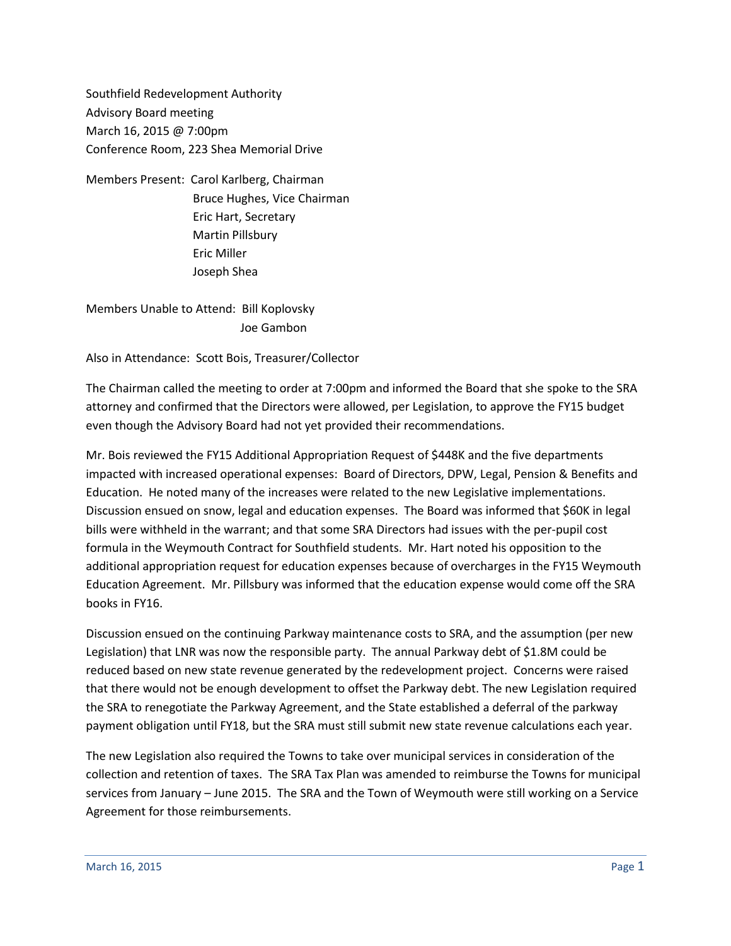Southfield Redevelopment Authority Advisory Board meeting March 16, 2015 @ 7:00pm Conference Room, 223 Shea Memorial Drive

Members Present: Carol Karlberg, Chairman Bruce Hughes, Vice Chairman Eric Hart, Secretary Martin Pillsbury Eric Miller Joseph Shea

Members Unable to Attend: Bill Koplovsky Joe Gambon

Also in Attendance: Scott Bois, Treasurer/Collector

The Chairman called the meeting to order at 7:00pm and informed the Board that she spoke to the SRA attorney and confirmed that the Directors were allowed, per Legislation, to approve the FY15 budget even though the Advisory Board had not yet provided their recommendations.

Mr. Bois reviewed the FY15 Additional Appropriation Request of \$448K and the five departments impacted with increased operational expenses: Board of Directors, DPW, Legal, Pension & Benefits and Education. He noted many of the increases were related to the new Legislative implementations. Discussion ensued on snow, legal and education expenses. The Board was informed that \$60K in legal bills were withheld in the warrant; and that some SRA Directors had issues with the per-pupil cost formula in the Weymouth Contract for Southfield students. Mr. Hart noted his opposition to the additional appropriation request for education expenses because of overcharges in the FY15 Weymouth Education Agreement. Mr. Pillsbury was informed that the education expense would come off the SRA books in FY16.

Discussion ensued on the continuing Parkway maintenance costs to SRA, and the assumption (per new Legislation) that LNR was now the responsible party. The annual Parkway debt of \$1.8M could be reduced based on new state revenue generated by the redevelopment project. Concerns were raised that there would not be enough development to offset the Parkway debt. The new Legislation required the SRA to renegotiate the Parkway Agreement, and the State established a deferral of the parkway payment obligation until FY18, but the SRA must still submit new state revenue calculations each year.

The new Legislation also required the Towns to take over municipal services in consideration of the collection and retention of taxes. The SRA Tax Plan was amended to reimburse the Towns for municipal services from January – June 2015. The SRA and the Town of Weymouth were still working on a Service Agreement for those reimbursements.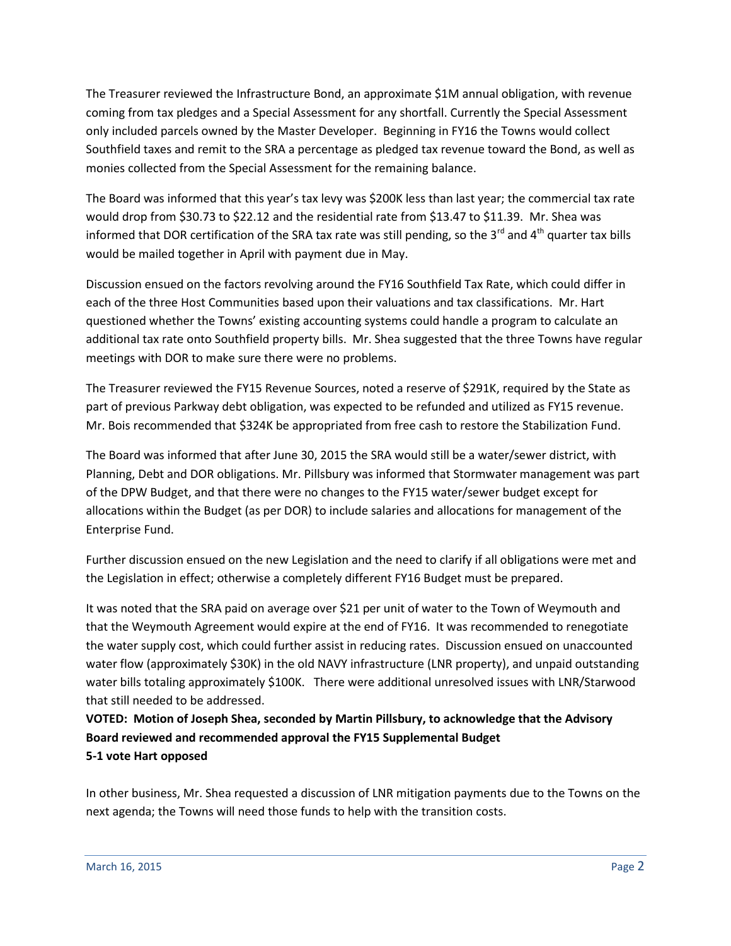The Treasurer reviewed the Infrastructure Bond, an approximate \$1M annual obligation, with revenue coming from tax pledges and a Special Assessment for any shortfall. Currently the Special Assessment only included parcels owned by the Master Developer. Beginning in FY16 the Towns would collect Southfield taxes and remit to the SRA a percentage as pledged tax revenue toward the Bond, as well as monies collected from the Special Assessment for the remaining balance.

The Board was informed that this year's tax levy was \$200K less than last year; the commercial tax rate would drop from \$30.73 to \$22.12 and the residential rate from \$13.47 to \$11.39. Mr. Shea was informed that DOR certification of the SRA tax rate was still pending, so the 3<sup>rd</sup> and 4<sup>th</sup> quarter tax bills would be mailed together in April with payment due in May.

Discussion ensued on the factors revolving around the FY16 Southfield Tax Rate, which could differ in each of the three Host Communities based upon their valuations and tax classifications. Mr. Hart questioned whether the Towns' existing accounting systems could handle a program to calculate an additional tax rate onto Southfield property bills. Mr. Shea suggested that the three Towns have regular meetings with DOR to make sure there were no problems.

The Treasurer reviewed the FY15 Revenue Sources, noted a reserve of \$291K, required by the State as part of previous Parkway debt obligation, was expected to be refunded and utilized as FY15 revenue. Mr. Bois recommended that \$324K be appropriated from free cash to restore the Stabilization Fund.

The Board was informed that after June 30, 2015 the SRA would still be a water/sewer district, with Planning, Debt and DOR obligations. Mr. Pillsbury was informed that Stormwater management was part of the DPW Budget, and that there were no changes to the FY15 water/sewer budget except for allocations within the Budget (as per DOR) to include salaries and allocations for management of the Enterprise Fund.

Further discussion ensued on the new Legislation and the need to clarify if all obligations were met and the Legislation in effect; otherwise a completely different FY16 Budget must be prepared.

It was noted that the SRA paid on average over \$21 per unit of water to the Town of Weymouth and that the Weymouth Agreement would expire at the end of FY16. It was recommended to renegotiate the water supply cost, which could further assist in reducing rates. Discussion ensued on unaccounted water flow (approximately \$30K) in the old NAVY infrastructure (LNR property), and unpaid outstanding water bills totaling approximately \$100K. There were additional unresolved issues with LNR/Starwood that still needed to be addressed.

**VOTED: Motion of Joseph Shea, seconded by Martin Pillsbury, to acknowledge that the Advisory Board reviewed and recommended approval the FY15 Supplemental Budget 5-1 vote Hart opposed**

In other business, Mr. Shea requested a discussion of LNR mitigation payments due to the Towns on the next agenda; the Towns will need those funds to help with the transition costs.